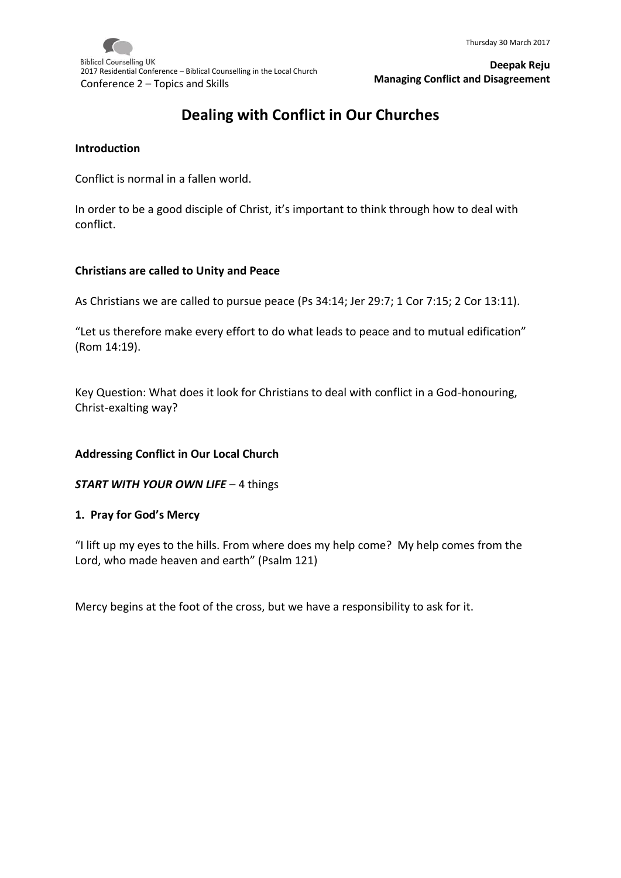**Biblical Counselling UK** 2017 Residential Conference – Biblical Counselling in the Local Church Conference 2 – Topics and Skills

**Deepak Reju Managing Conflict and Disagreement**

# **Dealing with Conflict in Our Churches**

#### **Introduction**

Conflict is normal in a fallen world.

In order to be a good disciple of Christ, it's important to think through how to deal with conflict.

#### **Christians are called to Unity and Peace**

As Christians we are called to pursue peace (Ps 34:14; Jer 29:7; 1 Cor 7:15; 2 Cor 13:11).

"Let us therefore make every effort to do what leads to peace and to mutual edification" (Rom 14:19).

Key Question: What does it look for Christians to deal with conflict in a God-honouring, Christ-exalting way?

#### **Addressing Conflict in Our Local Church**

*START WITH YOUR OWN LIFE* – 4 things

#### **1. Pray for God's Mercy**

"I lift up my eyes to the hills. From where does my help come? My help comes from the Lord, who made heaven and earth" (Psalm 121)

Mercy begins at the foot of the cross, but we have a responsibility to ask for it.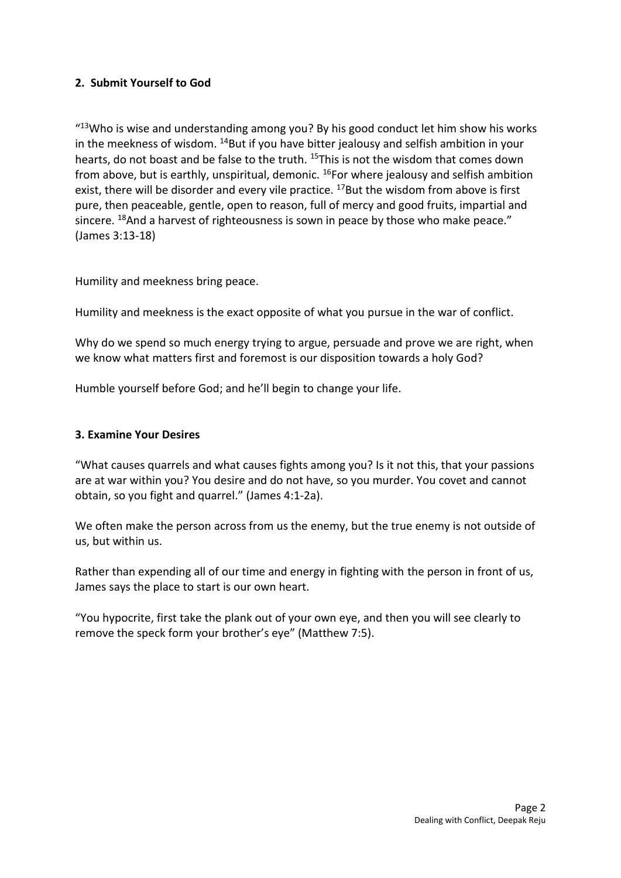# **2. Submit Yourself to God**

"<sup>13</sup>Who is wise and understanding among you? By his good conduct let him show his works in the meekness of wisdom.  $^{14}$ But if you have bitter jealousy and selfish ambition in your hearts, do not boast and be false to the truth. <sup>15</sup>This is not the wisdom that comes down from above, but is earthly, unspiritual, demonic.  $^{16}$ For where jealousy and selfish ambition exist, there will be disorder and every vile practice.  $^{17}$ But the wisdom from above is first pure, then peaceable, gentle, open to reason, full of mercy and good fruits, impartial and sincere. <sup>18</sup>And a harvest of righteousness is sown in peace by those who make peace." (James 3:13-18)

Humility and meekness bring peace.

Humility and meekness is the exact opposite of what you pursue in the war of conflict.

Why do we spend so much energy trying to argue, persuade and prove we are right, when we know what matters first and foremost is our disposition towards a holy God?

Humble yourself before God; and he'll begin to change your life.

#### **3. Examine Your Desires**

"What causes quarrels and what causes fights among you? Is it not this, that your passions are at war within you? You desire and do not have, so you murder. You covet and cannot obtain, so you fight and quarrel." (James 4:1-2a).

We often make the person across from us the enemy, but the true enemy is not outside of us, but within us.

Rather than expending all of our time and energy in fighting with the person in front of us, James says the place to start is our own heart.

"You hypocrite, first take the plank out of your own eye, and then you will see clearly to remove the speck form your brother's eye" (Matthew 7:5).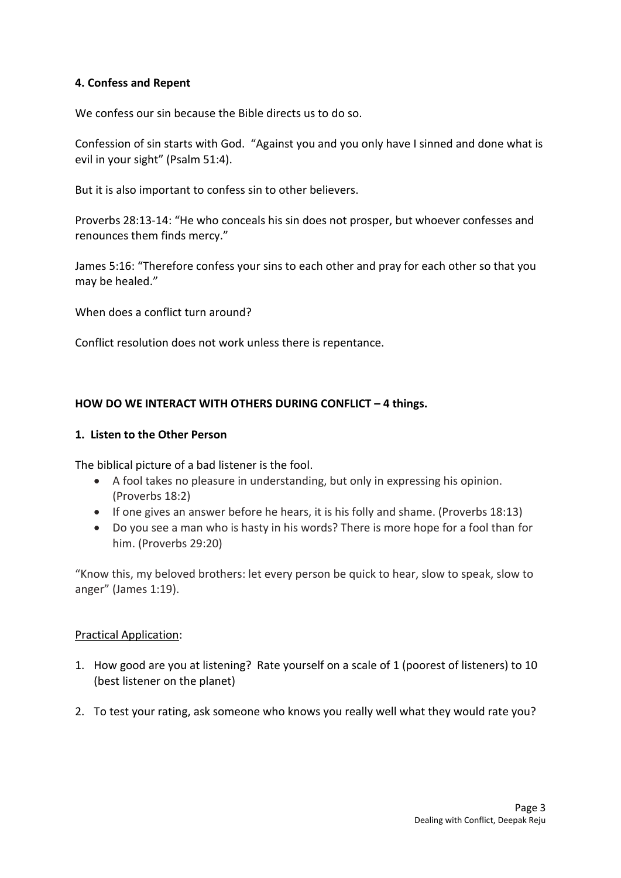## **4. Confess and Repent**

We confess our sin because the Bible directs us to do so.

Confession of sin starts with God. "Against you and you only have I sinned and done what is evil in your sight" (Psalm 51:4).

But it is also important to confess sin to other believers.

Proverbs 28:13-14: "He who conceals his sin does not prosper, but whoever confesses and renounces them finds mercy."

James 5:16: "Therefore confess your sins to each other and pray for each other so that you may be healed."

When does a conflict turn around?

Conflict resolution does not work unless there is repentance.

## **HOW DO WE INTERACT WITH OTHERS DURING CONFLICT – 4 things.**

#### **1. Listen to the Other Person**

The biblical picture of a bad listener is the fool.

- A fool takes no pleasure in understanding, but only in expressing his opinion. (Proverbs 18:2)
- If one gives an answer before he hears, it is his folly and shame. (Proverbs 18:13)
- Do you see a man who is hasty in his words? There is more hope for a fool than for him. (Proverbs 29:20)

"Know this, my beloved brothers: let every person be quick to hear, slow to speak, slow to anger" (James 1:19).

#### Practical Application:

- 1. How good are you at listening? Rate yourself on a scale of 1 (poorest of listeners) to 10 (best listener on the planet)
- 2. To test your rating, ask someone who knows you really well what they would rate you?